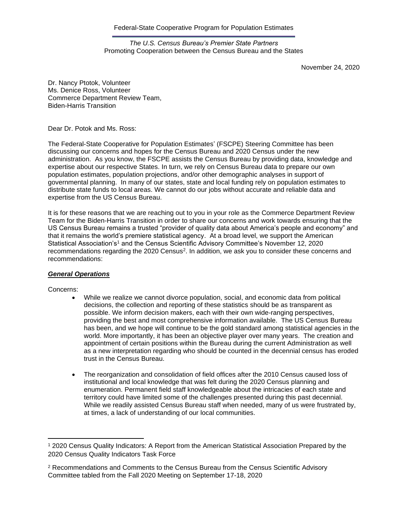Federal-State Cooperative Program for Population Estimates

*The U.S. Census Bureau's Premier State Partners* Promoting Cooperation between the Census Bureau and the States

November 24, 2020

Dr. Nancy Ptotok, Volunteer Ms. Denice Ross, Volunteer Commerce Department Review Team, Biden-Harris Transition

Dear Dr. Potok and Ms. Ross:

The Federal-State Cooperative for Population Estimates' (FSCPE) Steering Committee has been discussing our concerns and hopes for the Census Bureau and 2020 Census under the new administration. As you know, the FSCPE assists the Census Bureau by providing data, knowledge and expertise about our respective States. In turn, we rely on Census Bureau data to prepare our own population estimates, population projections, and/or other demographic analyses in support of governmental planning. In many of our states, state and local funding rely on population estimates to distribute state funds to local areas. We cannot do our jobs without accurate and reliable data and expertise from the US Census Bureau.

It is for these reasons that we are reaching out to you in your role as the Commerce Department Review Team for the Biden-Harris Transition in order to share our concerns and work towards ensuring that the US Census Bureau remains a trusted "provider of quality data about America's people and economy" and that it remains the world's premiere statistical agency. At a broad level, we support the American Statistical Association's<sup>1</sup> and the Census Scientific Advisory Committee's November 12, 2020 recommendations regarding the 2020 Census<sup>2</sup>. In addition, we ask you to consider these concerns and recommendations:

#### *General Operations*

Concerns:

- While we realize we cannot divorce population, social, and economic data from political decisions, the collection and reporting of these statistics should be as transparent as possible. We inform decision makers, each with their own wide-ranging perspectives, providing the best and most comprehensive information available. The US Census Bureau has been, and we hope will continue to be the gold standard among statistical agencies in the world. More importantly, it has been an objective player over many years. The creation and appointment of certain positions within the Bureau during the current Administration as well as a new interpretation regarding who should be counted in the decennial census has eroded trust in the Census Bureau.
- The reorganization and consolidation of field offices after the 2010 Census caused loss of institutional and local knowledge that was felt during the 2020 Census planning and enumeration. Permanent field staff knowledgeable about the intricacies of each state and territory could have limited some of the challenges presented during this past decennial. While we readily assisted Census Bureau staff when needed, many of us were frustrated by, at times, a lack of understanding of our local communities.

<sup>1</sup> 2020 Census Quality Indicators: A Report from the American Statistical Association Prepared by the 2020 Census Quality Indicators Task Force

<sup>2</sup> Recommendations and Comments to the Census Bureau from the Census Scientific Advisory Committee tabled from the Fall 2020 Meeting on September 17-18, 2020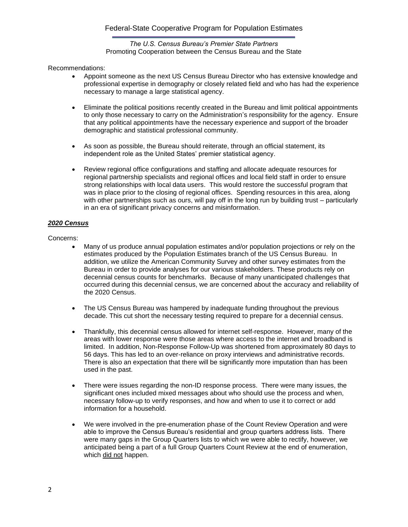### *The U.S. Census Bureau's Premier State Partners* Promoting Cooperation between the Census Bureau and the State

Recommendations:

- Appoint someone as the next US Census Bureau Director who has extensive knowledge and professional expertise in demography or closely related field and who has had the experience necessary to manage a large statistical agency.
- Eliminate the political positions recently created in the Bureau and limit political appointments to only those necessary to carry on the Administration's responsibility for the agency. Ensure that any political appointments have the necessary experience and support of the broader demographic and statistical professional community.
- As soon as possible, the Bureau should reiterate, through an official statement, its independent role as the United States' premier statistical agency.
- Review regional office configurations and staffing and allocate adequate resources for regional partnership specialists and regional offices and local field staff in order to ensure strong relationships with local data users. This would restore the successful program that was in place prior to the closing of regional offices. Spending resources in this area, along with other partnerships such as ours, will pay off in the long run by building trust – particularly in an era of significant privacy concerns and misinformation.

## *2020 Census*

Concerns:

- Many of us produce annual population estimates and/or population projections or rely on the estimates produced by the Population Estimates branch of the US Census Bureau. In addition, we utilize the American Community Survey and other survey estimates from the Bureau in order to provide analyses for our various stakeholders. These products rely on decennial census counts for benchmarks. Because of many unanticipated challenges that occurred during this decennial census, we are concerned about the accuracy and reliability of the 2020 Census.
- The US Census Bureau was hampered by inadequate funding throughout the previous decade. This cut short the necessary testing required to prepare for a decennial census.
- Thankfully, this decennial census allowed for internet self-response. However, many of the areas with lower response were those areas where access to the internet and broadband is limited. In addition, Non-Response Follow-Up was shortened from approximately 80 days to 56 days. This has led to an over-reliance on proxy interviews and administrative records. There is also an expectation that there will be significantly more imputation than has been used in the past.
- There were issues regarding the non-ID response process. There were many issues, the significant ones included mixed messages about who should use the process and when, necessary follow-up to verify responses, and how and when to use it to correct or add information for a household.
- We were involved in the pre-enumeration phase of the Count Review Operation and were able to improve the Census Bureau's residential and group quarters address lists. There were many gaps in the Group Quarters lists to which we were able to rectify, however, we anticipated being a part of a full Group Quarters Count Review at the end of enumeration, which did not happen.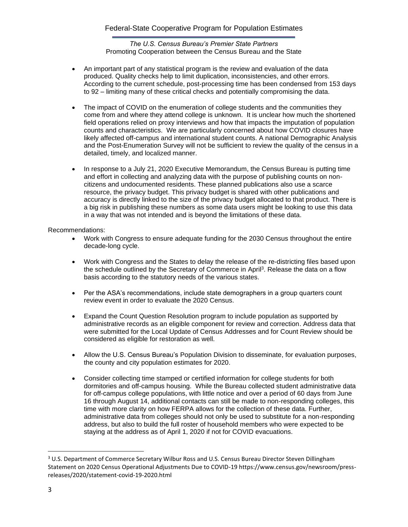*The U.S. Census Bureau's Premier State Partners* Promoting Cooperation between the Census Bureau and the State

- An important part of any statistical program is the review and evaluation of the data produced. Quality checks help to limit duplication, inconsistencies, and other errors. According to the current schedule, post-processing time has been condensed from 153 days to 92 – limiting many of these critical checks and potentially compromising the data.
- The impact of COVID on the enumeration of college students and the communities they come from and where they attend college is unknown. It is unclear how much the shortened field operations relied on proxy interviews and how that impacts the imputation of population counts and characteristics. We are particularly concerned about how COVID closures have likely affected off-campus and international student counts. A national Demographic Analysis and the Post-Enumeration Survey will not be sufficient to review the quality of the census in a detailed, timely, and localized manner.
- In response to a July 21, 2020 Executive Memorandum, the Census Bureau is putting time and effort in collecting and analyzing data with the purpose of publishing counts on noncitizens and undocumented residents. These planned publications also use a scarce resource, the privacy budget. This privacy budget is shared with other publications and accuracy is directly linked to the size of the privacy budget allocated to that product. There is a big risk in publishing these numbers as some data users might be looking to use this data in a way that was not intended and is beyond the limitations of these data.

### Recommendations:

- Work with Congress to ensure adequate funding for the 2030 Census throughout the entire decade-long cycle.
- Work with Congress and the States to delay the release of the re-districting files based upon the schedule outlined by the Secretary of Commerce in April<sup>3</sup>. Release the data on a flow basis according to the statutory needs of the various states.
- Per the ASA's recommendations, include state demographers in a group quarters count review event in order to evaluate the 2020 Census.
- Expand the Count Question Resolution program to include population as supported by administrative records as an eligible component for review and correction. Address data that were submitted for the Local Update of Census Addresses and for Count Review should be considered as eligible for restoration as well.
- Allow the U.S. Census Bureau's Population Division to disseminate, for evaluation purposes, the county and city population estimates for 2020.
- Consider collecting time stamped or certified information for college students for both dormitories and off-campus housing. While the Bureau collected student administrative data for off-campus college populations, with little notice and over a period of 60 days from June 16 through August 14, additional contacts can still be made to non-responding colleges, this time with more clarity on how FERPA allows for the collection of these data. Further, administrative data from colleges should not only be used to substitute for a non-responding address, but also to build the full roster of household members who were expected to be staying at the address as of April 1, 2020 if not for COVID evacuations.

<sup>&</sup>lt;sup>3</sup> U.S. Department of Commerce Secretary Wilbur Ross and U.S. Census Bureau Director Steven Dillingham Statement on 2020 Census Operational Adjustments Due to COVID-19 https://www.census.gov/newsroom/pressreleases/2020/statement-covid-19-2020.html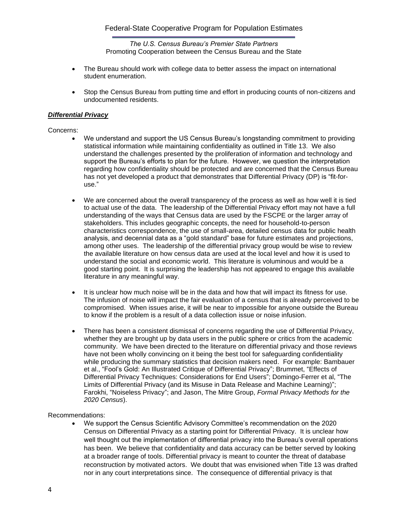*The U.S. Census Bureau's Premier State Partners* Promoting Cooperation between the Census Bureau and the State

- The Bureau should work with college data to better assess the impact on international student enumeration.
- Stop the Census Bureau from putting time and effort in producing counts of non-citizens and undocumented residents.

### *Differential Privacy*

Concerns:

- We understand and support the US Census Bureau's longstanding commitment to providing statistical information while maintaining confidentiality as outlined in Title 13. We also understand the challenges presented by the proliferation of information and technology and support the Bureau's efforts to plan for the future. However, we question the interpretation regarding how confidentiality should be protected and are concerned that the Census Bureau has not yet developed a product that demonstrates that Differential Privacy (DP) is "fit-foruse."
- We are concerned about the overall transparency of the process as well as how well it is tied to actual use of the data. The leadership of the Differential Privacy effort may not have a full understanding of the ways that Census data are used by the FSCPE or the larger array of stakeholders. This includes geographic concepts, the need for household-to-person characteristics correspondence, the use of small-area, detailed census data for public health analysis, and decennial data as a "gold standard" base for future estimates and projections, among other uses. The leadership of the differential privacy group would be wise to review the available literature on how census data are used at the local level and how it is used to understand the social and economic world. This literature is voluminous and would be a good starting point. It is surprising the leadership has not appeared to engage this available literature in any meaningful way.
- It is unclear how much noise will be in the data and how that will impact its fitness for use. The infusion of noise will impact the fair evaluation of a census that is already perceived to be compromised. When issues arise, it will be near to impossible for anyone outside the Bureau to know if the problem is a result of a data collection issue or noise infusion.
- There has been a consistent dismissal of concerns regarding the use of Differential Privacy, whether they are brought up by data users in the public sphere or critics from the academic community. We have been directed to the literature on differential privacy and those reviews have not been wholly convincing on it being the best tool for safeguarding confidentiality while producing the summary statistics that decision makers need. For example: Bambauer et al., "Fool's Gold: An Illustrated Critique of Differential Privacy"; Brummet, "Effects of Differential Privacy Techniques: Considerations for End Users"; Domingo-Ferrer et al, "The Limits of Differential Privacy (and its Misuse in Data Release and Machine Learning)"; Farokhi, "Noiseless Privacy"; and Jason, The Mitre Group, *Formal Privacy Methods for the 2020 Census*).

Recommendations:

• We support the Census Scientific Advisory Committee's recommendation on the 2020 Census on Differential Privacy as a starting point for Differential Privacy. It is unclear how well thought out the implementation of differential privacy into the Bureau's overall operations has been. We believe that confidentiality and data accuracy can be better served by looking at a broader range of tools. Differential privacy is meant to counter the threat of database reconstruction by motivated actors. We doubt that was envisioned when Title 13 was drafted nor in any court interpretations since. The consequence of differential privacy is that